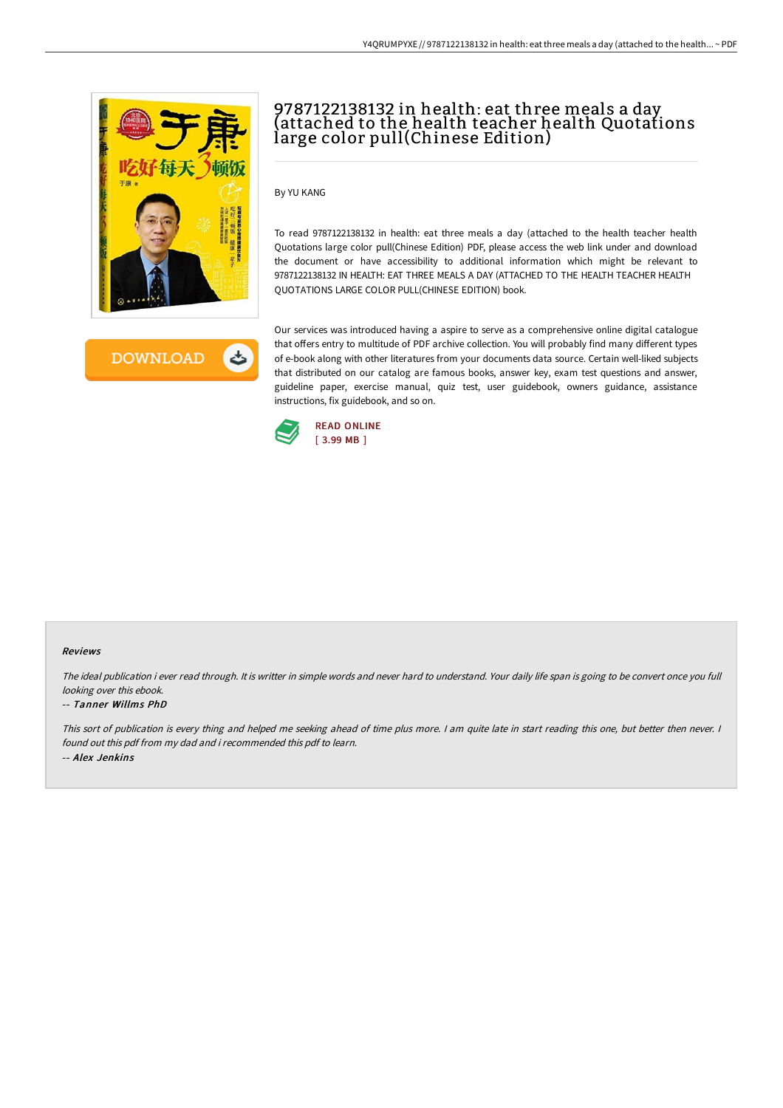



# 9787122138132 in health: eat three meals a day (attached to the health teacher health Quotations large color pull(Chinese Edition)

By YU KANG

To read 9787122138132 in health: eat three meals a day (attached to the health teacher health Quotations large color pull(Chinese Edition) PDF, please access the web link under and download the document or have accessibility to additional information which might be relevant to 9787122138132 IN HEALTH: EAT THREE MEALS A DAY (ATTACHED TO THE HEALTH TEACHER HEALTH QUOTATIONS LARGE COLOR PULL(CHINESE EDITION) book.

Our services was introduced having a aspire to serve as a comprehensive online digital catalogue that offers entry to multitude of PDF archive collection. You will probably find many different types of e-book along with other literatures from your documents data source. Certain well-liked subjects that distributed on our catalog are famous books, answer key, exam test questions and answer, guideline paper, exercise manual, quiz test, user guidebook, owners guidance, assistance instructions, fix guidebook, and so on.



#### Reviews

The ideal publication i ever read through. It is writter in simple words and never hard to understand. Your daily life span is going to be convert once you full looking over this ebook.

### -- Tanner Willms PhD

This sort of publication is every thing and helped me seeking ahead of time plus more. <sup>I</sup> am quite late in start reading this one, but better then never. <sup>I</sup> found out this pdf from my dad and i recommended this pdf to learn. -- Alex Jenkins